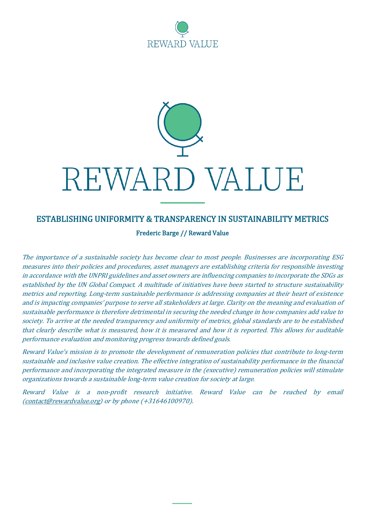

# REWARD VALUE

# ESTABLISHING UNIFORMITY & TRANSPARENCY IN SUSTAINABILITY METRICS

Frederic Barge // Reward Value

The importance of <sup>a</sup> sustainable society has become clear to most people. Businesses are incorporating ESG measures into their policies and procedures, asset managers are establishing criteria for responsible investing in accordance with the UNPRI guidelines and asset owners are influencing companies to incorporate the SDGs as established by the UN Global Compact. A multitude of initiatives have been started to structure sustainability metrics and reporting. Long-term sustainable performance is addressing companies at their heart of existence and is impacting companies' purpose to serve all stakeholders at large. Clarity on the meaning and evaluation of sustainable performance is therefore detrimental in securing the needed change in how companies add value to society. To arrive at the needed transparency and uniformity of metrics, global standards are to be established that clearly describe what is measured, how it is measured and how it is reported. This allows for auditable performance evaluation and monitoring progress towards defined goals.

Reward Value's mission is to promote the development of remuneration policies that contribute to long-term sustainable and inclusive value creation. The effective integration of sustainability performance in the financial performance and incorporating the integrated measure in the (executive) remuneration policies will stimulate organizations towards <sup>a</sup> sustainable long-term value creation for society at large.

Reward Value is <sup>a</sup> non-profit research initiative. Reward Value can be reached by email [\(contact@rewardvalue.org\)](mailto:contact@rewardvalue.org) or by phone (+31646100970).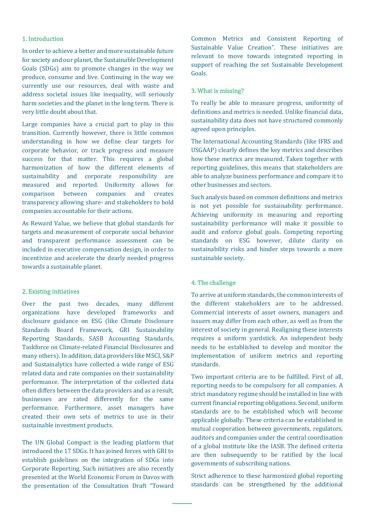# 1. Introduction

In order to achieve a better and more sustainable future for society and our planet, the Sustainable Development Goals (SDGs) aim to promote changes in the way we produce, consume and live. Continuing in the way we currently use our resources, deal with waste and address societal issues like inequality, will seriously harm societies and the planet in the long term. There is very little doubt about that.

Large companies have a crucial part to play in this transition. Currently however, there is little common understanding in how we define clear targets for corporate behavior, or track progress and measure success for that matter. This requires a global harmonization of how the different elements of sustainability and corporate responsibility are measured and reported. Uniformity allows for comparison between companies and creates transparency allowing share- and stakeholders to hold companies accountable for their actions.

As Reward Value, we believe that global standards for targets and measurement of corporate social behavior and transparent performance assessment can be included in executive compensation design, in order to incentivize and accelerate the dearly needed progress towards a sustainable planet.

# 2. Existing initiatives

Over the past two decades, many different organizations have developed frameworks and disclosure guidance on ESG (like Climate Disclosure Standards Board Framework, GRI Sustainability Reporting Standards, SASB Accounting Standards, Taskforce on Climate-related Financial Disclosures and many others). In addition, data providers like MSCI, S&P and Sustainalytics have collected a wide range of ESG related data and rate companies on their sustainability performance. The interpretation of the collected data often differs between the data providers and as a result, businesses are rated differently for the same performance. Furthermore, asset managers have created their own sets of metrics to use in their sustainable investment products.

The UN Global Compact is the leading platform that introduced the 17 SDGs. It has joined forces with GRI to establish guidelines on the integration of SDGs into Corporate Reporting. Such initiatives are also recently presented at the World Economic Forum in Davos with the presentation of the Consultation Draft "Toward Common Metrics and Consistent Reporting of Sustainable Value Creation". These initiatives are relevant to move towards integrated reporting in support of reaching the set Sustainable Development Goals.

#### 3. What is missing?

To really be able to measure progress, uniformity of definitions and metrics is needed. Unlike financial data, sustainability data does not have structured commonly agreed upon principles.

The International Accounting Standards (like IFRS and USGAAP) clearly defines the key metrics and describes how these metrics are measured. Taken together with reporting guidelines, this means that stakeholders are able to analyze business performance and compare it to other businesses and sectors.

Such analysis based on common definitions and metrics is not yet possible for sustainability performance. Achieving uniformity in measuring and reporting sustainability performance will make it possible to audit and enforce global goals. Competing reporting standards on ESG however, dilute clarity on sustainability risks and hinder steps towards a more sustainable society.

# 4. The challenge

To arrive at uniform standards, the common interests of the different stakeholders are to be addressed. Commercial interests of asset owners, managers and issuers may differ from each other, as well as from the interest of society in general. Realigning these interests requires a uniform yardstick. An independent body needs to be established to develop and monitor the implementation of uniform metrics and reporting standards.

Two important criteria are to be fulfilled. First of all, reporting needs to be compulsory for all companies. A strict mandatory regime should be installed in line with current financial reporting obligations. Second, uniform standards are to be established which will become applicable globally. These criteria can be established in mutual cooperation between governments, regulators, auditors and companies under the central coordination of a global institute like the IASB. The defined criteria are then subsequently to be ratified by the local governments of subscribing nations.

Strict adherence to these harmonized global reporting standards can be strengthened by the additional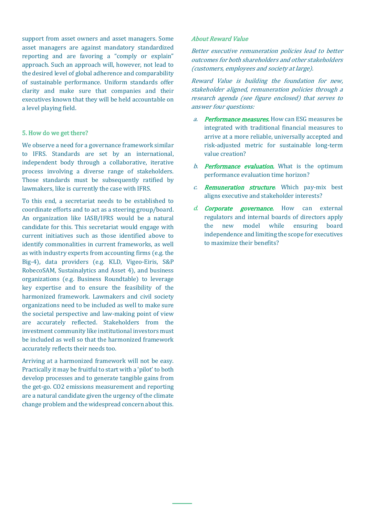support from asset owners and asset managers. Some asset managers are against mandatory standardized reporting and are favoring a "comply or explain" approach. Such an approach will, however, not lead to the desired level of global adherence and comparability of sustainable performance. Uniform standards offer clarity and make sure that companies and their executives known that they will be held accountable on a level playing field.

# 5. How do we get there?

We observe a need for a governance framework similar to IFRS. Standards are set by an international, independent body through a collaborative, iterative process involving a diverse range of stakeholders. Those standards must be subsequently ratified by lawmakers, like is currently the case with IFRS.

To this end, a secretariat needs to be established to coordinate efforts and to act as a steering group/board. An organization like IASB/IFRS would be a natural candidate for this. This secretariat would engage with current initiatives such as those identified above to identify commonalities in current frameworks, as well as with industry experts from accounting firms (e.g. the Big-4), data providers (e.g. KLD, Vigeo-Eiris, S&P RobecoSAM, Sustainalytics and Asset 4), and business organizations (e.g. Business Roundtable) to leverage key expertise and to ensure the feasibility of the harmonized framework. Lawmakers and civil society organizations need to be included as well to make sure the societal perspective and law-making point of view are accurately reflected. Stakeholders from the investment community like institutional investors must be included as well so that the harmonized framework accurately reflects their needs too.

Arriving at a harmonized framework will not be easy. Practically it may be fruitful to start with a 'pilot' to both develop processes and to generate tangible gains from the get-go. CO2 emissions measurement and reporting are a natural candidate given the urgency of the climate change problem and the widespread concern about this.

# About Reward Value

Better executive remuneration policies lead to better outcomes for both shareholders and other stakeholders (customers, employees and society at large).

Reward Value is building the foundation for new, stakeholder aligned, remuneration policies through <sup>a</sup> research agenda (see figure enclosed) that serves to answer four questions:

- a. Performance measures. How can ESG measures be integrated with traditional financial measures to arrive at a more reliable, universally accepted and risk-adjusted metric for sustainable long-term value creation?
- b. **Performance evaluation**. What is the optimum performance evaluation time horizon?
- c. **Remuneration structure**. Which pay-mix best aligns executive and stakeholder interests?
- d. **Corporate governance.** How can external regulators and internal boards of directors apply the new model while ensuring board independence and limiting the scope for executives to maximize their benefits?